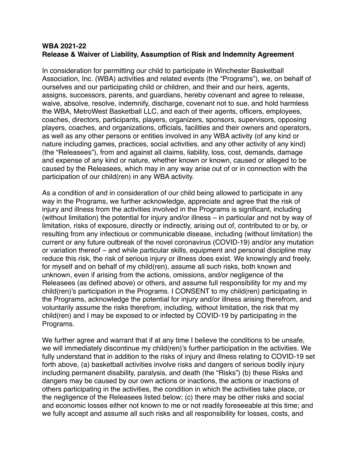## **WBA 2021-22 Release & Waiver of Liability, Assumption of Risk and Indemnity Agreement**

In consideration for permitting our child to participate in Winchester Basketball Association, Inc. (WBA) activities and related events (the "Programs"), we, on behalf of ourselves and our participating child or children, and their and our heirs, agents, assigns, successors, parents, and guardians, hereby covenant and agree to release, waive, absolve, resolve, indemnify, discharge, covenant not to sue, and hold harmless the WBA, MetroWest Basketball LLC, and each of their agents, officers, employees, coaches, directors, participants, players, organizers, sponsors, supervisors, opposing players, coaches, and organizations, officials, facilities and their owners and operators, as well as any other persons or entities involved in any WBA activity (of any kind or nature including games, practices, social activities, and any other activity of any kind) (the "Releasees"), from and against all claims, liability, loss, cost, demands, damage and expense of any kind or nature, whether known or known, caused or alleged to be caused by the Releasees, which may in any way arise out of or in connection with the participation of our child(ren) in any WBA activity.

As a condition of and in consideration of our child being allowed to participate in any way in the Programs, we further acknowledge, appreciate and agree that the risk of injury and illness from the activities involved in the Programs is significant, including (without limitation) the potential for injury and/or illness – in particular and not by way of limitation, risks of exposure, directly or indirectly, arising out of, contributed to or by, or resulting from any infectious or communicable disease, including (without limitation) the current or any future outbreak of the novel coronavirus (COVID-19) and/or any mutation or variation thereof – and while particular skills, equipment and personal discipline may reduce this risk, the risk of serious injury or illness does exist. We knowingly and freely, for myself and on behalf of my child(ren), assume all such risks, both known and unknown, even if arising from the actions, omissions, and/or negligence of the Releasees (as defined above) or others, and assume full responsibility for my and my child(ren)'s participation in the Programs. I CONSENT to my child(ren) participating in the Programs, acknowledge the potential for injury and/or illness arising therefrom, and voluntarily assume the risks therefrom, including, without limitation, the risk that my child(ren) and I may be exposed to or infected by COVID-19 by participating in the Programs.

We further agree and warrant that if at any time I believe the conditions to be unsafe, we will immediately discontinue my child(ren)'s further participation in the activities. We fully understand that in addition to the risks of injury and illness relating to COVID-19 set forth above, (a) basketball activities involve risks and dangers of serious bodily injury including permanent disability, paralysis, and death (the "Risks") (b) these Risks and dangers may be caused by our own actions or inactions, the actions or inactions of others participating in the activities, the condition in which the activities take place, or the negligence of the Releasees listed below; (c) there may be other risks and social and economic losses either not known to me or not readily foreseeable at this time; and we fully accept and assume all such risks and all responsibility for losses, costs, and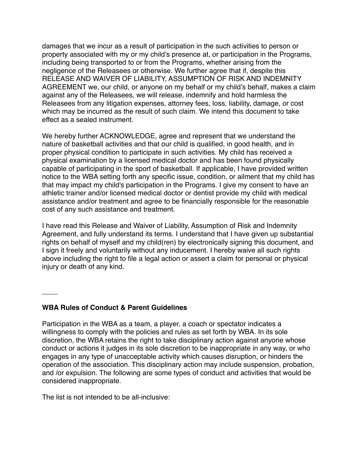damages that we incur as a result of participation in the such activities to person or property associated with my or my child's presence at, or participation in the Programs, including being transported to or from the Programs, whether arising from the negligence of the Releasees or otherwise. We further agree that if, despite this RELEASE AND WAIVER OF LIABILITY, ASSUMPTION OF RISK AND INDEMNITY AGREEMENT we, our child, or anyone on my behalf or my child's behalf, makes a claim against any of the Releasees, we will release, indemnify and hold harmless the Releasees from any litigation expenses, attorney fees, loss, liability, damage, or cost which may be incurred as the result of such claim. We intend this document to take effect as a sealed instrument.

We hereby further ACKNOWLEDGE, agree and represent that we understand the nature of basketball activities and that our child is qualified, in good health, and in proper physical condition to participate in such activities. My child has received a physical examination by a licensed medical doctor and has been found physically capable of participating in the sport of basketball. If applicable, I have provided written notice to the WBA setting forth any specific issue, condition, or ailment that my child has that may impact my child's participation in the Programs. I give my consent to have an athletic trainer and/or licensed medical doctor or dentist provide my child with medical assistance and/or treatment and agree to be financially responsible for the reasonable cost of any such assistance and treatment.

I have read this Release and Waiver of Liability, Assumption of Risk and Indemnity Agreement, and fully understand its terms. I understand that I have given up substantial rights on behalf of myself and my child(ren) by electronically signing this document, and I sign it freely and voluntarily without any inducement. I hereby waive all such rights above including the right to file a legal action or assert a claim for personal or physical injury or death of any kind.

## **WBA Rules of Conduct & Parent Guidelines**

 $\overline{\phantom{a}}$ 

Participation in the WBA as a team, a player, a coach or spectator indicates a willingness to comply with the policies and rules as set forth by WBA. In its sole discretion, the WBA retains the right to take disciplinary action against anyone whose conduct or actions it judges in its sole discretion to be inappropriate in any way, or who engages in any type of unacceptable activity which causes disruption, or hinders the operation of the association. This disciplinary action may include suspension, probation, and /or expulsion. The following are some types of conduct and activities that would be considered inappropriate.

The list is not intended to be all-inclusive: